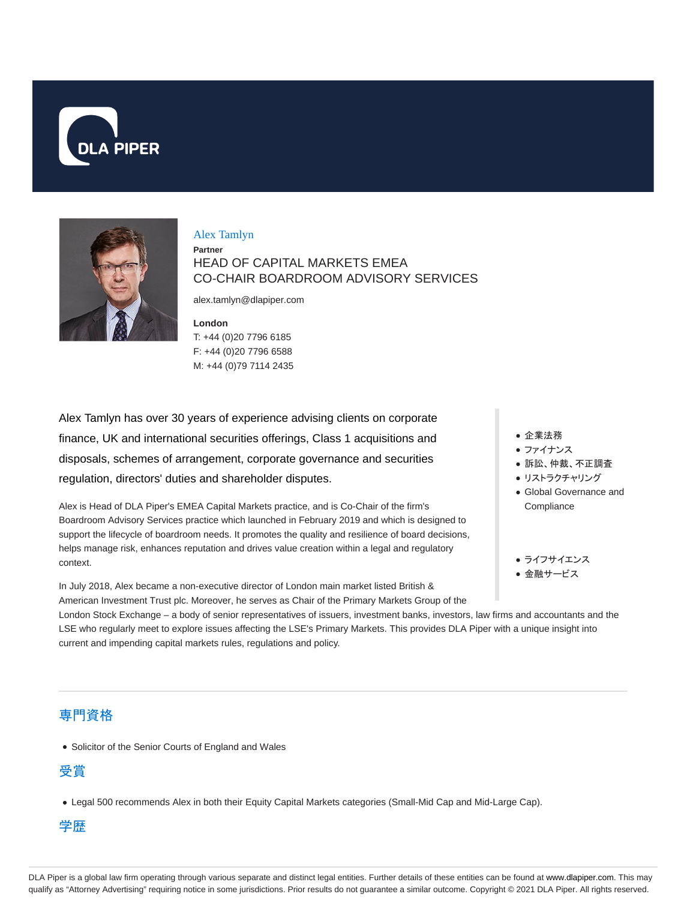



### Alex Tamlyn

**Partner** HEAD OF CAPITAL MARKETS EMEA CO-CHAIR BOARDROOM ADVISORY SERVICES

alex.tamlyn@dlapiper.com

**London** T: +44 (0)20 7796 6185 F: +44 (0)20 7796 6588 M: +44 (0)79 7114 2435

Alex Tamlyn has over 30 years of experience advising clients on corporate finance, UK and international securities offerings, Class 1 acquisitions and disposals, schemes of arrangement, corporate governance and securities regulation, directors' duties and shareholder disputes.

Alex is Head of DLA Piper's EMEA Capital Markets practice, and is Co-Chair of the firm's Boardroom Advisory Services practice which launched in February 2019 and which is designed to support the lifecycle of boardroom needs. It promotes the quality and resilience of board decisions, helps manage risk, enhances reputation and drives value creation within a legal and regulatory context.

In July 2018, Alex became a non-executive director of London main market listed British & American Investment Trust plc. Moreover, he serves as Chair of the Primary Markets Group of the

- 企業法務
- ファイナンス
- 訴訟、仲裁、不正調査
- リストラクチャリング
- Global Governance and **Compliance**
- ライフサイエンス
- 金融サービス

London Stock Exchange – a body of senior representatives of issuers, investment banks, investors, law firms and accountants and the LSE who regularly meet to explore issues affecting the LSE's Primary Markets. This provides DLA Piper with a unique insight into current and impending capital markets rules, regulations and policy.

## 専門資格

• Solicitor of the Senior Courts of England and Wales

# 受賞

Legal 500 recommends Alex in both their Equity Capital Markets categories (Small-Mid Cap and Mid-Large Cap).

# 学歴

DLA Piper is a global law firm operating through various separate and distinct legal entities. Further details of these entities can be found at www.dlapiper.com. This may qualify as "Attorney Advertising" requiring notice in some jurisdictions. Prior results do not guarantee a similar outcome. Copyright © 2021 DLA Piper. All rights reserved.